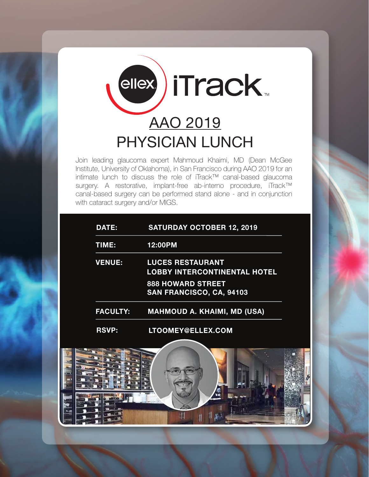

Join leading glaucoma expert Mahmoud Khaimi, MD (Dean McGee Institute, University of Oklahoma), in San Francisco during AAO 2019 for an intimate lunch to discuss the role of iTrack™ canal-based glaucoma surgery. A restorative, implant-free ab-interno procedure, iTrack™ canal-based surgery can be performed stand alone - and in conjunction with cataract surgery and/or MIGS.

| <b>DATE:</b>    | <b>SATURDAY OCTOBER 12, 2019</b>                               |
|-----------------|----------------------------------------------------------------|
| TIME:           | 12:00PM                                                        |
| <b>VENUE:</b>   | <b>LUCES RESTAURANT</b><br><b>LOBBY INTERCONTINENTAL HOTEL</b> |
|                 | <b>888 HOWARD STREET</b><br>SAN FRANCISCO, CA, 94103           |
| <b>FACULTY:</b> | <b>MAHMOUD A. KHAIMI, MD (USA)</b>                             |
| <b>RSVP:</b>    | LTOOMEY@ELLEX.COM                                              |

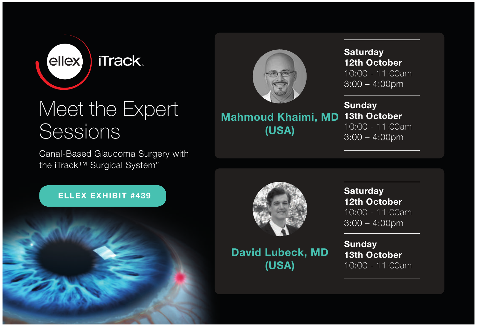

## Meet the Expert Sessions

Canal-Based Glaucoma Surgery with the iTrack™ Surgical System"

#### ELLEX EXHIBIT #439





Mahmoud Khaimi, MD (USA)

**Saturday** 12th October 10:00 - 11:00am 3:00 – 4:00pm

**Sunday** 13th October 10:00 - 11:00am  $3:00 - 4:00$ pm



David Lubeck, MD (USA)

**Saturday** 12th October 10:00 - 11:00am 3:00 – 4:00pm

**Sunday** 13th October 10:00 - 11:00am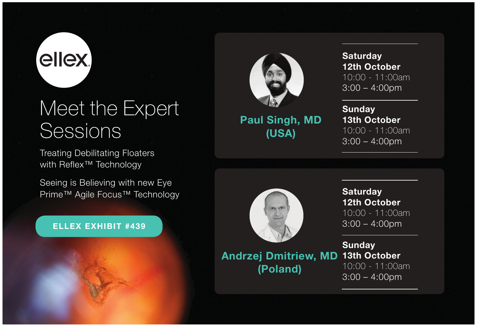# ellex.

## Meet the Expert Sessions

Treating Debilitating Floaters with Reflex<sup>™</sup> Technology

Seeing is Believing with new Eye Prime™ Agile Focus™ Technology

#### ELLEX EXHIBIT #439



Paul Singh, MD (USA)

**Saturday** 12th October 10:00 - 11:00am 3:00 – 4:00pm

**Sunday** 13th October 10:00 - 11:00am 3:00 – 4:00pm



Andrzej Dmitriew, MD (Poland)

**Saturday** 12th October 10:00 - 11:00am 3:00 – 4:00pm

**Sunday** 13th October 10:00 - 11:00am 3:00 – 4:00pm